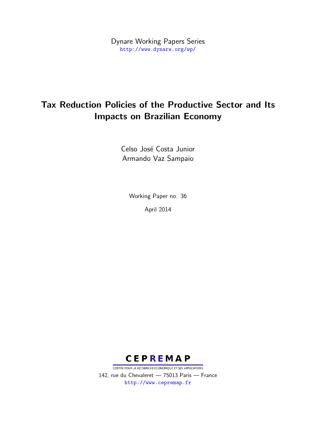Dynare Working Papers Series <http://www.dynare.org/wp/>

# Tax Reduction Policies of the Productive Sector and Its Impacts on Brazilian Economy

Celso José Costa Junior Armando Vaz Sampaio

> Working Paper no. 36 April 2014

**CEPREMAP** 

CENTRE POUR LA RECHERCHE ECONOMIQUE ET SES APPLICATIONS 142, rue du Chevaleret — 75013 Paris — France <http://www.cepremap.fr>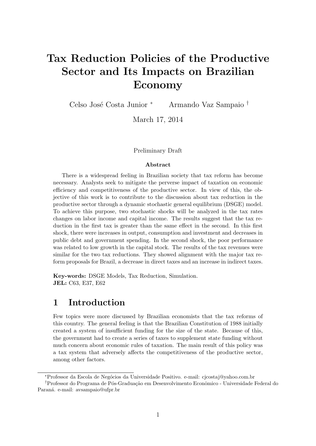# <span id="page-1-0"></span>Tax Reduction Policies of the Productive Sector and Its Impacts on Brazilian Economy

Celso José Costa Junior <sup>∗</sup> Armando Vaz Sampaio †

March 17, 2014

#### Preliminary Draft

#### Abstract

There is a widespread feeling in Brazilian society that tax reform has become necessary. Analysts seek to mitigate the perverse impact of taxation on economic efficiency and competitiveness of the productive sector. In view of this, the objective of this work is to contribute to the discussion about tax reduction in the productive sector through a dynamic stochastic general equilibrium (DSGE) model. To achieve this purpose, two stochastic shocks will be analyzed in the tax rates changes on labor income and capital income. The results suggest that the tax reduction in the first tax is greater than the same effect in the second. In this first shock, there were increases in output, consumption and investment and decreases in public debt and government spending. In the second shock, the poor performance was related to low growth in the capital stock. The results of the tax revenues were similar for the two tax reductions. They showed alignment with the major tax reform proposals for Brazil, a decrease in direct taxes and an increase in indirect taxes.

Key-words: DSGE Models, Tax Reduction, Simulation. JEL: C63, E37, E62

# 1 Introduction

Few topics were more discussed by Brazilian economists that the tax reforms of this country. The general feeling is that the Brazilian Constitution of 1988 initially created a system of insufficient funding for the size of the state. Because of this, the government had to create a series of taxes to supplement state funding without much concern about economic rules of taxation. The main result of this policy was a tax system that adversely affects the competitiveness of the productive sector, among other factors.

<sup>∗</sup>Professor da Escola de Neg´ocios da Universidade Positivo. e-mail: cjcostaj@yahoo.com.br

<sup>†</sup>Professor do Programa de Pós-Graduação em Desenvolvimento Econômico - Universidade Federal do Paraná. e-mail: avsampaio@ufpr.br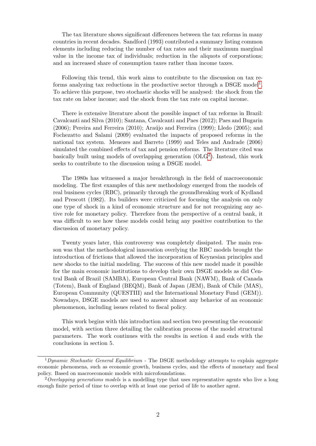The tax literature shows significant differences between the tax reforms in many countries in recent decades. Sandford (1993) contributed a summary listing common elements including reducing the number of tax rates and their maximum marginal value in the income tax of individuals; reduction in the aliquots of corporations; and an increased share of consumption taxes rather than income taxes.

Following this trend, this work aims to contribute to the discussion on tax re-forms analyzing tax reductions in the productive sector through a DSGE model<sup>[1](#page-1-0)</sup>. To achieve this purpose, two stochastic shocks will be analysed: the shock from the tax rate on labor income; and the shock from the tax rate on capital income.

There is extensive literature about the possible impact of tax reforms in Brazil: Cavalcanti and Silva (2010); Santana, Cavalcanti and Paes (2012); Paes and Bugarin  $(2006)$ ; Pereira and Ferreira  $(2010)$ ; Araújo and Ferreira  $(1999)$ ; Lledo  $(2005)$ ; and Fochezatto and Salami (2009) evaluated the impacts of proposed reforms in the national tax system. Menezes and Barreto (1999) and Teles and Andrade (2006) simulated the combined effects of tax and pension reforms. The literature cited was basically built using models of overlapping generation  $(OLG<sup>2</sup>)$  $(OLG<sup>2</sup>)$  $(OLG<sup>2</sup>)$ . Instead, this work seeks to contribute to the discussion using a DSGE model.

The 1980s has witnessed a major breakthrough in the field of macroeconomic modeling. The first examples of this new methodology emerged from the models of real business cycles (RBC), primarily through the groundbreaking work of Kydland and Prescott (1982). Its builders were criticized for focusing the analysis on only one type of shock in a kind of economic structure and for not recognizing any active role for monetary policy. Therefore from the perspective of a central bank, it was difficult to see how these models could bring any positive contribution to the discussion of monetary policy.

Twenty years later, this controversy was completely dissipated. The main reason was that the methodological innovation overlying the RBC models brought the introduction of frictions that allowed the incorporation of Keynesian principles and new shocks to the initial modeling. The success of this new model made it possible for the main economic institutions to develop their own DSGE models as did Central Bank of Brazil (SAMBA), European Central Bank (NAWM), Bank of Canada (Totem), Bank of England (BEQM), Bank of Japan (JEM), Bank of Chile (MAS), European Community (QUESTIII) and the International Monetary Fund (GEM)). Nowadays, DSGE models are used to answer almost any behavior of an economic phenomenon, including issues related to fiscal policy.

This work begins with this introduction and section two presenting the economic model, with section three detailing the calibration process of the model structural parameters. The work continues with the results in section 4 and ends with the conclusions in section 5.

<sup>&</sup>lt;sup>1</sup>Dynamic Stochastic General Equilibrium - The DSGE methodology attempts to explain aggregate economic phenomena, such as economic growth, business cycles, and the effects of monetary and fiscal policy. Based on macroeconomic models with microfoundations.

 $2$  Overlapping generations models is a modelling type that uses representative agents who live a long enough finite period of time to overlap with at least one period of life to another agent.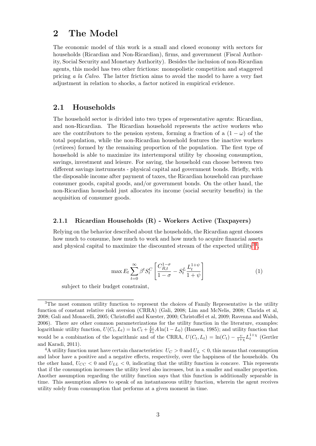### 2 The Model

The economic model of this work is a small and closed economy with sectors for households (Ricardian and Non-Ricardian), firms, and government (Fiscal Authority, Social Security and Monetary Authority). Besides the inclusion of non-Ricardian agents, this model has two other frictions: monopolistic competition and staggered pricing a la Calvo. The latter friction aims to avoid the model to have a very fast adjustment in relation to shocks, a factor noticed in empirical evidence.

### 2.1 Households

The household sector is divided into two types of representative agents: Ricardian, and non-Ricardian. The Ricardian household represents the active workers who are the contributors to the pension system, forming a fraction of a  $(1 - \omega)$  of the total population, while the non-Ricardian household features the inactive workers (retirees) formed by the remaining proportion of the population. The first type of household is able to maximize its intertemporal utility by choosing consumption, savings, investment and leisure. For saving, the household can choose between two different savings instruments - physical capital and government bonds. Briefly, with the disposable income after payment of taxes, the Ricardian household can purchase consumer goods, capital goods, and/or government bonds. On the other hand, the non-Ricardian household just allocates its income (social security benefits) in the acquisition of consumer goods.

#### 2.1.1 Ricardian Households (R) - Workers Active (Taxpayers)

Relying on the behavior described about the households, the Ricardian agent chooses how much to consume, how much to work and how much to acquire financial assets and physical capital to maximize the discounted stream of the expected utility<sup>[34](#page-1-0)</sup>,

$$
\max E_t \sum_{t=0}^{\infty} \beta^t S_t^C \left[ \frac{C_{R,t}^{1-\sigma}}{1-\sigma} - S_t^L \frac{L_t^{1+\psi}}{1+\psi} \right] \tag{1}
$$

subject to their budget constraint,

<sup>&</sup>lt;sup>3</sup>The most common utility function to represent the choices of Family Representative is the utility function of constant relative risk aversion (CRRA) (Gali, 2008; Lim and McNelis, 2008; Clarida et al, 2008; Gali and Monacelli, 2005; Christoffel and Kuester, 2000; Christoffel et al, 2009; Ravenna and Walsh, 2006). There are other common parameterizations for the utility function in the literature, examples: logarithmic utility function,  $U(C_t, L_t) = \ln C_t + \frac{L_t}{L_0} A \ln(1 - L_0)$  (Hansen, 1985); and utility function that would be a combination of the logarithmic and of the CRRA,  $U(C_t, L_t) = \ln(C_t) - \frac{v}{1+\chi} L_t^{1+\chi}$  (Gertler and Karadi, 2011).

<sup>&</sup>lt;sup>4</sup>A utility function must have certain characteristics:  $U_C > 0$  and  $U_L < 0$ , this means that consumption and labor have a positive and a negative effects, respectively, over the happiness of the households. On the other hand,  $U_{CC}$  < 0 and  $U_{LL}$  < 0, indicating that the utility function is concave. This represents that if the consumption increases the utility level also increases, but in a smaller and smaller proportion. Another assumption regarding the utility function says that this function is additionally separable in time. This assumption allows to speak of an instantaneous utility function, wherein the agent receives utility solely from consumption that performs at a given moment in time.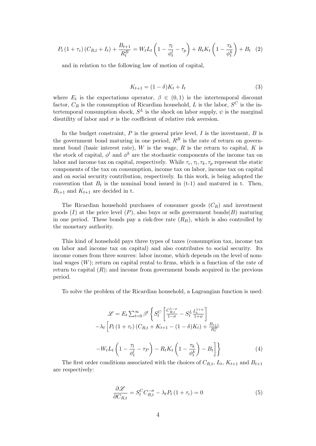$$
P_t (1 + \tau_c) (C_{R,t} + I_t) + \frac{B_{t+1}}{R_t^B} = W_t L_t \left( 1 - \frac{\tau_l}{\phi_t^I} - \tau_p \right) + R_t K_t \left( 1 - \frac{\tau_k}{\phi_t^k} \right) + B_t \tag{2}
$$

and in relation to the following law of motion of capital,

$$
K_{t+1} = (1 - \delta)K_t + I_t
$$
\n(3)

where  $E_t$  is the expectations operator,  $\beta \in (0,1)$  is the intertemporal discount factor,  $C_R$  is the consumption of Ricardian household, L is the labor,  $S^C$  is the intertemporal consumption shock,  $S^L$  is the shock on labor supply,  $\psi$  is the marginal disutility of labor and  $\sigma$  is the coefficient of relative risk aversion.

In the budget constraint,  $P$  is the general price level,  $I$  is the investment,  $B$  is the government bond maturing in one period,  $R^B$  is the rate of return on government bond (basic interest rate),  $W$  is the wage,  $R$  is the return to capital,  $K$  is the stock of capital,  $\phi^l$  and  $\phi^k$  are the stochastic components of the income tax on labor and income tax on capital, respectively. While  $\tau_c$ ,  $\tau_l$ ,  $\tau_k$ ,  $\tau_p$  represent the static components of the tax on consumption, income tax on labor, income tax on capital and on social security contribution, respectively. In this work, is being adopted the convention that  $B_t$  is the nominal bond issued in (t-1) and matured in t. Then,  $B_{t+1}$  and  $K_{t+1}$  are decided in t.

The Ricardian household purchases of consumer goods  $(C_R)$  and investment goods (I) at the price level (P), also buys or sells government bonds(B) maturing in one period. These bonds pay a risk-free rate  $(R_B)$ , which is also controlled by the monetary authority.

This kind of household pays three types of taxes (consumption tax, income tax on labor and income tax on capital) and also contributes to social security. Its income comes from three sources: labor income, which depends on the level of nominal wages  $(W)$ ; return on capital rental to firms, which is a function of the rate of return to capital  $(R)$ ; and income from government bonds acquired in the previous period.

To solve the problem of the Ricardian household, a Lagrangian function is used:

$$
\mathcal{L} = E_t \sum_{t=0}^{\infty} \beta^t \left\{ S_t^C \left[ \frac{C_{R,t}^{1-\sigma}}{1-\sigma} - S_t^L \frac{L_t^{1+\psi}}{1+\psi} \right] - \lambda_t \left[ P_t \left( 1 + \tau_c \right) (C_{R,t} + K_{t+1} - (1-\delta)K_t) + \frac{B_{t+1}}{R_t^B} \right] - W_t L_t \left( 1 - \frac{\tau_l}{\phi_t^l} - \tau_P \right) - R_t K_t \left( 1 - \frac{\tau_k}{\phi_t^k} \right) - B_t \right] \right\}
$$
(4)

The first order conditions associated with the choices of  $C_{R,t}$ ,  $L_t$ ,  $K_{t+1}$  and  $B_{t+1}$ are respectively:

$$
\frac{\partial \mathcal{L}}{\partial C_{R,t}} = S_t^C C_{R,t}^{-\sigma} - \lambda_t P_t (1 + \tau_c) = 0
$$
\n<sup>(5)</sup>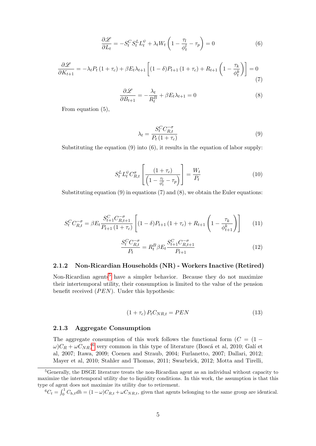$$
\frac{\partial \mathcal{L}}{\partial L_t} = -S_t^C S_t^L L_t^{\psi} + \lambda_t W_t \left( 1 - \frac{\tau_l}{\phi_t^l} - \tau_p \right) = 0 \tag{6}
$$

$$
\frac{\partial \mathcal{L}}{\partial K_{t+1}} = -\lambda_t P_t (1 + \tau_c) + \beta E_t \lambda_{t+1} \left[ (1 - \delta) P_{t+1} (1 + \tau_c) + R_{t+1} \left( 1 - \frac{\tau_k}{\phi_t^k} \right) \right] = 0
$$
\n(7)

$$
\frac{\partial \mathcal{L}}{\partial B_{t+1}} = -\frac{\lambda_t}{R_t^B} + \beta E_t \lambda_{t+1} = 0 \tag{8}
$$

From equation (5),

$$
\lambda_t = \frac{S_t^C C_{R,t}^{-\sigma}}{P_t \left(1 + \tau_c\right)}\tag{9}
$$

Substituting the equation  $(9)$  into  $(6)$ , it results in the equation of labor supply:

$$
S_t^L L_t^{\psi} C_{R,t}^{\sigma} \left[ \frac{(1+\tau_c)}{\left(1 - \frac{\tau_l}{\phi_t^1} - \tau_p\right)} \right] = \frac{W_t}{P_t}
$$
 (10)

Substituting equation  $(9)$  in equations  $(7)$  and  $(8)$ , we obtain the Euler equations:

$$
S_t^C C_{R,t}^{-\sigma} = \beta E_t \frac{S_{t+1}^C C_{R,t+1}^{-\sigma}}{P_{t+1} (1 + \tau_c)} \left[ (1 - \delta) P_{t+1} (1 + \tau_c) + R_{t+1} \left( 1 - \frac{\tau_k}{\phi_{t+1}^k} \right) \right]
$$
(11)

$$
\frac{S_t^C C_{R,t}^{-\sigma}}{P_t} = R_t^B \beta E_t \frac{S_{t+1}^C C_{R,t+1}^{-\sigma}}{P_{t+1}}
$$
\n(12)

#### 2.1.2 Non-Ricardian Households (NR) - Workers Inactive (Retired)

Non-Ricardian agents<sup>[5](#page-1-0)</sup> have a simpler behavior. Because they do not maximize their intertemporal utility, their consumption is limited to the value of the pension benefit received  $(PEN)$ . Under this hypothesis:

$$
(1 + \tau_c) P_t C_{NR,t} = P E N \tag{13}
$$

#### 2.1.3 Aggregate Consumption

The aggregate consumption of this work follows the functional form  $(C = (1 \omega$ ) $C_R + \omega C_{NR}$ <sup>[6](#page-1-0)</sup> very common in this type of literature (Boscá et al, 2010; Galí et al, 2007; Itawa, 2009; Coenen and Straub, 2004; Furlanetto, 2007; Dallari, 2012; Mayer et al, 2010; Stahler and Thomas, 2011; Swarbrick, 2012; Motta and Tirelli,

<sup>5</sup>Generally, the DSGE literature treats the non-Ricardian agent as an individual without capacity to maximize the intertemporal utility due to liquidity conditions. In this work, the assumption is that this type of agent does not maximize its utility due to retirement.

 ${}^6C_t = \int_0^1 C_{h,t} dh = (1 - \omega)C_{R,t} + \omega C_{NR,t}$ , given that agents belonging to the same group are identical.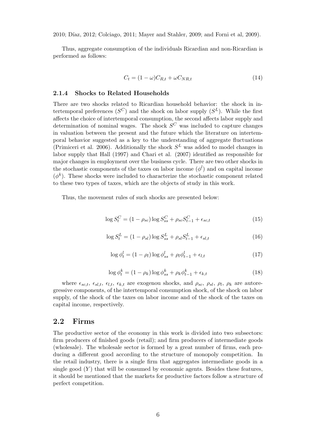2010; Díaz, 2012; Colciago, 2011; Mayer and Stahler, 2009; and Forni et al, 2009).

Thus, aggregate consumption of the individuals Ricardian and non-Ricardian is performed as follows:

$$
C_t = (1 - \omega)C_{R,t} + \omega C_{NR,t}
$$
\n
$$
(14)
$$

#### 2.1.4 Shocks to Related Households

There are two shocks related to Ricardian household behavior: the shock in intertemporal preferences  $(S^C)$  and the shock on labor supply  $(S^L)$ . While the first affects the choice of intertemporal consumption, the second affects labor supply and determination of nominal wages. The shock  $S^C$  was included to capture changes in valuation between the present and the future which the literature on intertemporal behavior suggested as a key to the understanding of aggregate fluctuations (Primiceri et al. 2006). Additionally the shock  $S<sup>L</sup>$  was added to model changes in labor supply that Hall (1997) and Chari et al. (2007) identified as responsible for major changes in employment over the business cycle. There are two other shocks in the stochastic components of the taxes on labor income  $(\phi^l)$  and on capital income  $(\phi^k)$ . These shocks were included to characterize the stochastic component related to these two types of taxes, which are the objects of study in this work.

Thus, the movement rules of such shocks are presented below:

$$
\log S_t^C = (1 - \rho_{sc}) \log S_{ss}^C + \rho_{sc} S_{t-1}^C + \epsilon_{sc,t}
$$
 (15)

$$
\log S_t^L = (1 - \rho_{sl}) \log S_{ss}^L + \rho_{sl} S_{t-1}^L + \epsilon_{sl,t}
$$
\n(16)

$$
\log \phi_t^l = (1 - \rho_l) \log \phi_{ss}^l + \rho_l \phi_{t-1}^l + \epsilon_{l,t} \tag{17}
$$

$$
\log \phi_t^k = (1 - \rho_k) \log \phi_{ss}^k + \rho_k \phi_{t-1}^k + \epsilon_{k,t} \tag{18}
$$

where  $\epsilon_{sc,t}$ ,  $\epsilon_{sl,t}$ ,  $\epsilon_{l,t}$ ,  $\epsilon_{k,t}$  are exogenou shocks, and  $\rho_{sc}$ ,  $\rho_{sl}$ ,  $\rho_l$ ,  $\rho_k$  are autoregressive components, of the intertemporal consumption shock, of the shock on labor supply, of the shock of the taxes on labor income and of the shock of the taxes on capital income, respectively.

#### 2.2 Firms

The productive sector of the economy in this work is divided into two subsectors: firm producers of finished goods (retail); and firm producers of intermediate goods (wholesale). The wholesale sector is formed by a great number of firms, each producing a different good according to the structure of monopoly competition. In the retail industry, there is a single firm that aggregates intermediate goods in a single good  $(Y)$  that will be consumed by economic agents. Besides these features, it should be mentioned that the markets for productive factors follow a structure of perfect competition.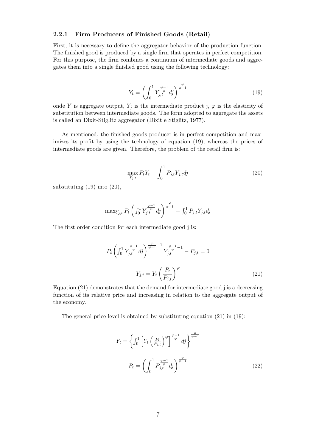#### 2.2.1 Firm Producers of Finished Goods (Retail)

First, it is necessary to define the aggregator behavior of the production function. The finished good is produced by a single firm that operates in perfect competition. For this purpose, the firm combines a continuum of intermediate goods and aggregates them into a single finished good using the following technology:

$$
Y_t = \left(\int_0^1 Y_{j,t}^{\frac{\varphi - 1}{\varphi}} dj\right)^{\frac{\varphi}{\varphi - 1}}
$$
\n(19)

onde Y is aggregate output,  $Y_j$  is the intermediate product j,  $\varphi$  is the elasticity of substitution between intermediate goods. The form adopted to aggregate the assets is called an Dixit-Stiglitz aggregator (Dixit e Stiglitz, 1977).

As mentioned, the finished goods producer is in perfect competition and maximizes its profit by using the technology of equation (19), whereas the prices of intermediate goods are given. Therefore, the problem of the retail firm is:

$$
\max_{Y_{j,t}} P_t Y_t - \int_0^1 P_{j,t} Y_{j,t} dj \tag{20}
$$

substituting (19) into (20),

$$
\max_{Y_{j,t}} P_t \left( \int_0^1 Y_{j,t}^{\frac{\varphi-1}{\varphi}} d j \right)^{\frac{\varphi}{\varphi-1}} - \int_0^1 P_{j,t} Y_{j,t} d j
$$

The first order condition for each intermediate good j is:

$$
P_t \left( \int_0^1 Y_{j,t}^{\frac{\varphi - 1}{\varphi}} dj \right)^{\frac{\varphi}{\varphi - 1} - 1} Y_{j,t}^{\frac{\varphi - 1}{\varphi} - 1} - P_{j,t} = 0
$$
  

$$
Y_{j,t} = Y_t \left( \frac{P_t}{P_{j,t}} \right)^{\varphi}
$$
 (21)

Equation (21) demonstrates that the demand for intermediate good j is a decreasing function of its relative price and increasing in relation to the aggregate output of the economy.

The general price level is obtained by substituting equation  $(21)$  in  $(19)$ :

$$
Y_t = \left\{ \int_0^1 \left[ Y_t \left( \frac{P_t}{P_{j,t}} \right)^\varphi \right]^\frac{\varphi - 1}{\varphi} dj \right\}^{\frac{\varphi}{\varphi - 1}}
$$

$$
P_t = \left( \int_0^1 P_{j,t}^{\frac{\varphi - 1}{\varphi}} dj \right)^{\frac{\varphi}{\varphi - 1}}
$$
(22)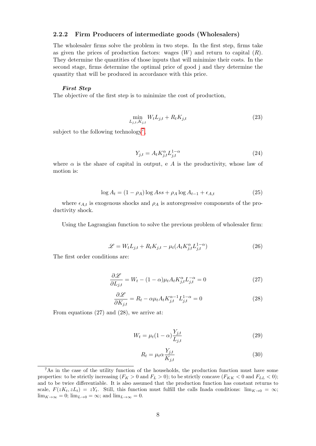#### 2.2.2 Firm Producers of intermediate goods (Wholesalers)

The wholesaler firms solve the problem in two steps. In the first step, firms take as given the prices of production factors: wages  $(W)$  and return to capital  $(R)$ . They determine the quantities of those inputs that will minimize their costs. In the second stage, firms determine the optimal price of good j and they determine the quantity that will be produced in accordance with this price.

#### First Step

The objective of the first step is to minimize the cost of production,

$$
\min_{L_{j,t}, K_{j,t}} W_t L_{j,t} + R_t K_{j,t} \tag{23}
$$

subject to the following technology<sup>[7](#page-1-0)</sup>,

$$
Y_{j,t} = A_t K_{j,t}^{\alpha} L_{j,t}^{1-\alpha} \tag{24}
$$

where  $\alpha$  is the share of capital in output, e A is the productivity, whose law of motion is:

$$
\log A_t = (1 - \rho_A) \log Ass + \rho_A \log A_{t-1} + \epsilon_{A,t} \tag{25}
$$

where  $\epsilon_{A,t}$  is exogenous shocks and  $\rho_A$  is autoregressive components of the productivity shock.

Using the Lagrangian function to solve the previous problem of wholesaler firm:

$$
\mathcal{L} = W_t L_{j,t} + R_t K_{j,t} - \mu_t (A_t K_{j,t}^{\alpha} L_{j,t}^{1-\alpha})
$$
\n(26)

The first order conditions are:

$$
\frac{\partial \mathcal{L}}{\partial L_{j,t}} = W_t - (1 - \alpha)\mu_t A_t K_{j,t}^{\alpha} L_{j,t}^{-\alpha} = 0 \tag{27}
$$

$$
\frac{\partial \mathcal{L}}{\partial K_{j,t}} = R_t - \alpha \mu_t A_t K_{j,t}^{\alpha - 1} L_{j,t}^{1 - \alpha} = 0 \tag{28}
$$

From equations (27) and (28), we arrive at:

$$
W_t = \mu_t (1 - \alpha) \frac{Y_{j,t}}{L_{j,t}} \tag{29}
$$

$$
R_t = \mu_t \alpha \frac{Y_{j,t}}{K_{j,t}} \tag{30}
$$

<sup>&</sup>lt;sup>7</sup>As in the case of the utility function of the households, the production function must have some properties: to be strictly increasing  $(F_K > 0 \text{ and } F_L > 0)$ ; to be strictly concave  $(F_{KK} < 0 \text{ and } F_{LL} < 0)$ ; and to be twice differentiable. It is also assumed that the production function has constant returns to scale,  $F(zK_t, zL_t) = zY_t$ . Still, this function must fulfill the calls Inada conditions:  $\lim_{K\to 0} = \infty$ ;  $\lim_{K\to\infty}$  = 0;  $\lim_{L\to 0}$  =  $\infty$ ; and  $\lim_{L\to\infty}$  = 0.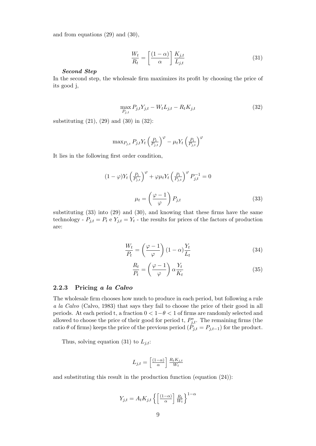and from equations (29) and (30),

$$
\frac{W_t}{R_t} = \left[\frac{(1-\alpha)}{\alpha}\right] \frac{K_{j,t}}{L_{j,t}} \tag{31}
$$

#### Second Step

In the second step, the wholesale firm maximizes its profit by choosing the price of its good j,

$$
\max_{P_{j,t}} P_{j,t} Y_{j,t} - W_t L_{j,t} - R_t K_{j,t} \tag{32}
$$

substituting (21), (29) and (30) in (32):

$$
\max_{P_{j,t}} P_{j,t} Y_t \left(\frac{P_t}{P_{j,t}}\right)^{\varphi} - \mu_t Y_t \left(\frac{P_t}{P_{j,t}}\right)^{\varphi}
$$

It lies in the following first order condition,

$$
(1 - \varphi)Y_t \left(\frac{P_t}{P_{j,t}}\right)^{\varphi} + \varphi \mu_t Y_t \left(\frac{P_t}{P_{j,t}}\right)^{\varphi} P_{j,t}^{-1} = 0
$$

$$
\mu_t = \left(\frac{\varphi - 1}{\varphi}\right) P_{j,t} \tag{33}
$$

substituting (33) into (29) and (30), and knowing that these firms have the same technology -  $P_{j,t} = P_t e Y_{j,t} = Y_t$  - the results for prices of the factors of production are:

$$
\frac{W_t}{P_t} = \left(\frac{\varphi - 1}{\varphi}\right)(1 - \alpha)\frac{Y_t}{L_t}
$$
\n(34)

$$
\frac{R_t}{P_t} = \left(\frac{\varphi - 1}{\varphi}\right) \alpha \frac{Y_t}{K_t} \tag{35}
$$

#### 2.2.3 Pricing a la Calvo

The wholesale firm chooses how much to produce in each period, but following a rule a la Calvo (Calvo, 1983) that says they fail to choose the price of their good in all periods. At each period t, a fraction  $0 < 1-\theta < 1$  of firms are randomly selected and allowed to choose the price of their good for period t,  $P_{j,t}^*$ . The remaining firms (the ratio  $\theta$  of firms) keeps the price of the previous period ( $\ddot{P}_{j,t} = P_{j,t-1}$ ) for the product.

Thus, solving equation (31) to  $L_{j,t}$ :

$$
L_{j,t} = \left[\frac{(1-\alpha)}{\alpha}\right] \frac{R_t K_{j,t}}{W_t}
$$

and substituting this result in the production function (equation (24)):

$$
Y_{j,t} = A_t K_{j,t} \left\{ \left[ \frac{(1-\alpha)}{\alpha} \right] \frac{R_t}{W_t} \right\}^{1-\alpha}
$$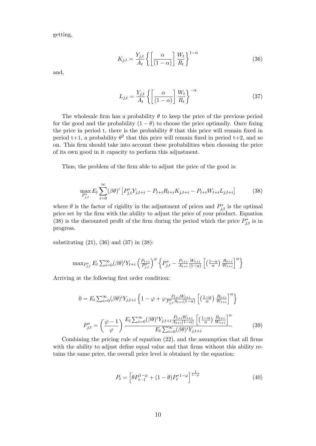getting,

$$
K_{j,t} = \frac{Y_{j,t}}{A_t} \left\{ \left[ \frac{\alpha}{(1-\alpha)} \right] \frac{W_t}{R_t} \right\}^{1-\alpha} \tag{36}
$$

and,

$$
L_{j,t} = \frac{Y_{j,t}}{A_t} \left\{ \left[ \frac{\alpha}{(1-\alpha)} \right] \frac{W_t}{R_t} \right\}^{-\alpha} \tag{37}
$$

The wholesale firm has a probability  $\theta$  to keep the price of the previous period for the good and the probability  $(1 - \theta)$  to choose the price optimally. Once fixing the price in period t, there is the probability  $\theta$  that this price will remain fixed in period t+1, a probability  $\theta^2$  that this price will remain fixed in period t+2, and so on. This firm should take into account these probabilities when choosing the price of its own good in it capacity to perform this adjustment.

Thus, the problem of the firm able to adjust the price of the good is:

$$
\max_{P_{j,t}^*} E_t \sum_{i=0}^{\infty} (\beta \theta)^i \left[ P_{j,t}^* Y_{j,t+i} - P_{t+i} R_{t+i} K_{j,t+i} - P_{t+i} W_{t+i} L_{j,t+i} \right] \tag{38}
$$

where  $\theta$  is the factor of rigidity in the adjustment of prices and  $P_{j,t}^*$  is the optimal price set by the firm with the ability to adjust the price of your product. Equation (38) is the discounted profit of the firm during the period which the price  $P_{j,t}^*$  is in progress.

substituting (21), (36) and (37) in (38):

$$
\max_{P_{j,t}^*} E_t \sum_{i=0}^{\infty} (\beta \theta)^i Y_{t+i} \left( \frac{P_{t+i}}{P_{j,t}^*} \right)^{\varphi} \left\{ P_{j,t}^* - \frac{P_{t+i}}{A_{t+i}} \frac{W_{t+i}}{(1-\alpha)} \left[ \left( \frac{1-\alpha}{\alpha} \right) \frac{R_{t+i}}{W_{t+i}} \right]^{\alpha} \right\}
$$

Arriving at the following first order condition:

$$
0 = E_t \sum_{i=0}^{\infty} (\beta \theta)^i Y_{j,t+i} \left\{ 1 - \varphi + \varphi \frac{P_{t+i} W_{t+i}}{P_{j,t}^* A_{t+i} (1-\alpha)} \left[ \left( \frac{1-\alpha}{\alpha} \right) \frac{R_{t+i}}{W_{t+i}} \right]^{\alpha} \right\}
$$

$$
P_{j,t}^* = \left( \frac{\varphi - 1}{\varphi} \right) \frac{E_t \sum_{i=0}^{\infty} (\beta \theta)^i Y_{j,t+i} \frac{P_{t+i} W_{t+i}}{A_{t+i} (1-\alpha)} \left[ \left( \frac{1-\alpha}{\alpha} \right) \frac{R_{t+i}}{W_{t+i}} \right]^{\alpha}}{E_t \sum_{i=0}^{\infty} (\beta \theta)^i Y_{j,t+i}} \tag{39}
$$

Combining the pricing rule of equation (22), and the assumption that all firms with the ability to adjust define equal value and that firms without this ability retains the same price, the overall price level is obtained by the equation:

$$
P_t = \left[\theta P_{t-1}^{1-\varphi} + (1-\theta)P_t^{*1-\varphi}\right]^{\frac{1}{1-\varphi}}
$$
\n(40)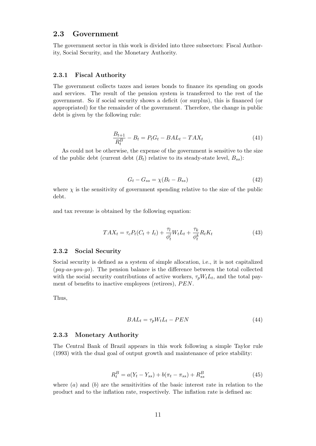### 2.3 Government

The government sector in this work is divided into three subsectors: Fiscal Authority, Social Security, and the Monetary Authority.

#### 2.3.1 Fiscal Authority

The government collects taxes and issues bonds to finance its spending on goods and services. The result of the pension system is transferred to the rest of the government. So if social security shows a deficit (or surplus), this is financed (or appropriated) for the remainder of the government. Therefore, the change in public debt is given by the following rule:

$$
\frac{B_{t+1}}{R_t^B} - B_t = P_t G_t - B A L_t - T A X_t \tag{41}
$$

As could not be otherwise, the expense of the government is sensitive to the size of the public debt (current debt  $(B_t)$  relative to its steady-state level,  $B_{ss}$ ):

$$
G_t - G_{ss} = \chi(B_t - B_{ss})\tag{42}
$$

where  $\chi$  is the sensitivity of government spending relative to the size of the public debt.

and tax revenue is obtained by the following equation:

$$
TAX_t = \tau_c P_t (C_t + I_t) + \frac{\tau_l}{\phi_t^l} W_t L_t + \frac{\tau_k}{\phi_t^k} R_t K_t
$$
\n
$$
\tag{43}
$$

#### 2.3.2 Social Security

Social security is defined as a system of simple allocation, i.e., it is not capitalized  $(pay-as-you-qo)$ . The pension balance is the difference between the total collected with the social security contributions of active workers,  $\tau_p W_t L_t$ , and the total payment of benefits to inactive employees (retirees),  $PEN$ .

Thus,

$$
BAL_t = \tau_p W_t L_t - PEN \tag{44}
$$

#### 2.3.3 Monetary Authority

The Central Bank of Brazil appears in this work following a simple Taylor rule (1993) with the dual goal of output growth and maintenance of price stability:

$$
R_t^B = a(Y_t - Y_{ss}) + b(\pi_t - \pi_{ss}) + R_{ss}^B
$$
\n(45)

where  $(a)$  and  $(b)$  are the sensitivities of the basic interest rate in relation to the product and to the inflation rate, respectively. The inflation rate is defined as: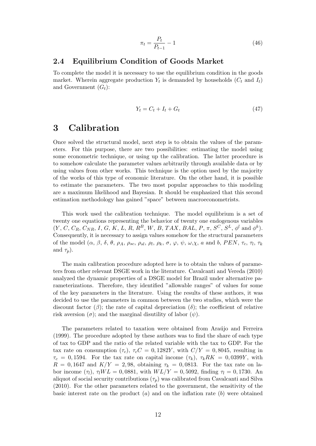$$
\pi_t = \frac{P_t}{P_{t-1}} - 1\tag{46}
$$

### 2.4 Equilibrium Condition of Goods Market

To complete the model it is necessary to use the equilibrium condition in the goods market. Wherein aggregate production  $Y_t$  is demanded by households  $(C_t$  and  $I_t)$ and Government  $(G_t)$ :

$$
Y_t = C_t + I_t + G_t \tag{47}
$$

## 3 Calibration

Once solved the structural model, next step is to obtain the values of the parameters. For this purpose, there are two possibilities: estimating the model using some econometric technique, or using up the calibration. The latter procedure is to somehow calculate the parameter values arbitrarily through available data or by using values from other works. This technique is the option used by the majority of the works of this type of economic literature. On the other hand, it is possible to estimate the parameters. The two most popular approaches to this modeling are a maximum likelihood and Bayesian. It should be emphasized that this second estimation methodology has gained "space" between macroeconometrists.

This work used the calibration technique. The model equilibrium is a set of twenty one equations representing the behavior of twenty one endogenous variables  $(Y, C, C_R, C_{NR}, I, G, K, L, R, R^B, W, B, TAX, BAL, P, \pi, S^C, S^L, \phi^l \text{ and } \phi^k).$ Consequently, it is necessary to assign values somehow for the structural parameters of the model  $(\alpha, \beta, \delta, \theta, \rho_A, \rho_{sc}, \rho_{sl}, \rho_l, \rho_k, \sigma, \varphi, \psi, \omega, \chi, a \text{ and } b, PEN, \tau_c, \tau_l, \tau_k$ and  $\tau_p$ ).

The main calibration procedure adopted here is to obtain the values of parameters from other relevant DSGE work in the literature. Cavalcanti and Vereda (2010) analyzed the dynamic properties of a DSGE model for Brazil under alternative parameterizations. Therefore, they identified "allowable ranges" of values for some of the key parameters in the literature. Using the results of these authors, it was decided to use the parameters in common between the two studies, which were the discount factor  $(\beta)$ ; the rate of capital depreciation  $(\delta)$ ; the coefficient of relative risk aversion  $(\sigma)$ ; and the marginal disutility of labor  $(\psi)$ .

The parameters related to taxation were obtained from Araújo and Ferreira (1999). The procedure adopted by these authors was to find the share of each type of tax to GDP and the ratio of the related variable with the tax to GDP. For the tax rate on consumption  $(\tau_c)$ ,  $\tau_c C = 0$ , 1282Y, with  $C/Y = 0$ , 8045, resulting in  $\tau_c = 0,1594$ . For the tax rate on capital income  $(\tau_k)$ ,  $\tau_k R K = 0,0399Y$ , with  $R = 0,1647$  and  $K/Y = 2,98$ , obtaining  $\tau_k = 0,0813$ . For the tax rate on labor income  $(\tau_l)$ ,  $\tau_l WL = 0$ , 0881, with  $WL/Y = 0$ , 5092, finding  $\tau_l = 0$ , 1730. An aliquot of social security contributions  $(\tau_p)$  was calibrated from Cavalcanti and Silva (2010). For the other parameters related to the government, the sensitivity of the basic interest rate on the product  $(a)$  and on the inflation rate  $(b)$  were obtained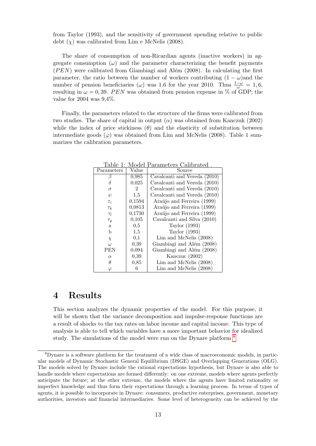from Taylor (1993), and the sensitivity of government spending relative to public debt  $(\chi)$  was calibrated from Lim e McNelis (2008).

The share of consumption of non-Ricardian agents (inactive workers) in aggregate consumption  $(\omega)$  and the parameter characterizing the benefit payments  $(PEN)$  were calibrated from Giambiagi and Além (2008). In calculating the first parameter, the ratio between the number of workers contributing  $(1 - \omega)$  and the number of pension beneficiaries ( $\omega$ ) was 1.6 for the year 2010. Thus  $\frac{1-\omega}{\omega} = 1, 6$ , resulting in  $\omega = 0, 39$ . PEN was obtained from pension expense in % of GDP; the value for 2004 was 9,4%.

Finally, the parameters related to the structure of the firms were calibrated from two studies. The share of capital in output  $(\alpha)$  was obtained from Kanczuk (2002) while the index of price stickiness  $(\theta)$  and the elasticity of substitution between intermediate goods  $(\varphi)$  was obtained from Lim and McNelis (2008). Table 1 summarizes the calibration parameters.

| Parameters   | Value          | Source                       |  |  |  |  |
|--------------|----------------|------------------------------|--|--|--|--|
| β            | 0,985          | Cavalcanti and Vereda (2010) |  |  |  |  |
| δ            | 0,025          | Cavalcanti and Vereda (2010) |  |  |  |  |
| $\sigma$     | $\overline{2}$ | Cavalcanti and Vereda (2010) |  |  |  |  |
| $\psi$       | 1,5            | Cavalcanti and Vereda (2010) |  |  |  |  |
| $\tau_c$     | 0,1594         | Araújo and Ferreira (1999)   |  |  |  |  |
| $\tau_k$     | 0,0813         | Araújo and Ferreira (1999)   |  |  |  |  |
| $\tau_l$     | 0,1730         | Araújo and Ferreira (1999)   |  |  |  |  |
| $\tau_p$     | 0,105          | Cavalcanti and Silva (2010)  |  |  |  |  |
| $\mathbf{a}$ | 0,5            | Taylor (1993)                |  |  |  |  |
| b            | 1,5            | Taylor (1993)                |  |  |  |  |
| $\chi$       | 0,1            | Lim and McNelis (2008)       |  |  |  |  |
| $\omega$     | 0,39           | Giambiagi and Além (2008)    |  |  |  |  |
| PEN          | 0,094          | Giambiagi and Além (2008)    |  |  |  |  |
| $\alpha$     | 0,39           | Kanczuc (2002)               |  |  |  |  |
| θ            | 0,85           | $Lim$ and McNelis $(2008)$   |  |  |  |  |
| $\varphi$    | 6              | Lim and McNelis (2008)       |  |  |  |  |

Table 1: Model Parameters Calibrated .

## 4 Results

This section analyzes the dynamic properties of the model. For this purpose, it will be shown that the variance decomposition and impulse-response functions are a result of shocks to the tax rates on labor income and capital income. This type of analysis is able to tell which variables have a more important behavior for idealized study. The simulations of the model were run on the Dynare platform  $8$ 

<sup>8</sup>Dynare is a software platform for the treatment of a wide class of macroeconomic models, in particular models of Dynamic Stochastic General Equilibrium (DSGE) and Overlapping Generations (OLG). The models solved by Dynare include the rational expectations hypothesis, but Dynare is also able to handle models where expectations are formed differently: on one extreme, models where agents perfectly anticipate the future; at the other extreme, the models where the agents have limited rationality or imperfect knowledge and thus form their expectations through a learning process. In terms of types of agents, it is possible to incorporate in Dynare: consumers, productive enterprises, government, monetary authorities, investors and financial intermediaries. Some level of heterogeneity can be achieved by the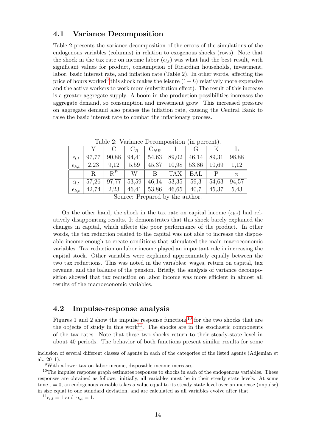### 4.1 Variance Decomposition

Table 2 presents the variance decomposition of the errors of the simulations of the endogenous variables (columns) in relation to exogenous shocks (rows). Note that the shock in the tax rate on income labor  $(\epsilon_{l,t})$  was what had the best result, with significant values for product, consumption of Ricardian households, investment, labor, basic interest rate, and inflation rate (Table 2). In other words, affecting the price of hours worked<sup>[9](#page-1-0)</sup> this shock makes the leisure  $(1-L)$  relatively more expensive and the active workers to work more (substitution effect). The result of this increase is a greater aggregate supply. A boom in the production possibilities increases the aggregate demand, so consumption and investment grow. This increased pressure on aggregate demand also pushes the inflation rate, causing the Central Bank to raise the basic interest rate to combat the inflationary process.

|                  |       | $\mathcal{C}$ | $C_R$ | $C_{NR}$ |            | $\mathcal{L}_{\mathbf{r}}$ |       |       |  |  |
|------------------|-------|---------------|-------|----------|------------|----------------------------|-------|-------|--|--|
| $\epsilon_{l,t}$ | 97,77 | 90,88         | 94.41 | 54,63    | 89,02      | 46,14                      | 89.31 | 98,88 |  |  |
| $\epsilon_{k,t}$ | 2,23  | 9,12          | 5,59  | 45,37    | 10,98      | 53,86                      | 10,69 | 1,12  |  |  |
|                  | R     | $R^B$         | W     | B        | <b>TAX</b> | BAL                        | Ρ     | $\pi$ |  |  |
| $\epsilon_{l,t}$ | 57,26 | 97,77         | 53,59 | 46,14    | 53,35      | 59,3                       | 54,63 | 94,57 |  |  |
| $\epsilon_{k,t}$ | 42,74 | 2,23          | 46,41 | 53,86    | 46,65      | 40,7                       | 45,37 | 5.43  |  |  |
|                  |       |               |       |          |            |                            |       |       |  |  |

Table 2: Variance Decomposition (in percent).

Source: Prepared by the author.

On the other hand, the shock in the tax rate on capital income  $(\epsilon_{k,t})$  had relatively disappointing results. It demonstrates that this shock barely explained the changes in capital, which affecte the poor performance of the product. In other words, the tax reduction related to the capital was not able to increase the disposable income enough to create conditions that stimulated the main macroeconomic variables. Tax reduction on labor income played an important role in increasing the capital stock. Other variables were explained approximately equally between the two tax reductions. This was noted in the variables: wages, return on capital, tax revenue, and the balance of the pension. Briefly, the analysis of variance decomposition showed that tax reduction on labor income was more efficient in almost all results of the macroeconomic variables.

### 4.2 Impulse-response analysis

Figures 1 and 2 show the impulse response functions<sup>[10](#page-1-0)</sup> for the two shocks that are the objects of study in this work<sup>[11](#page-1-0)</sup>. The shocks are in the stochastic components of the tax rates. Note that these two shocks return to their steady-state level in about 40 periods. The behavior of both functions present similar results for some

 $^{11}$  $\epsilon_{l,t} = 1$  and  $\epsilon_{k,t} = 1$ .

inclusion of several different classes of agents in each of the categories of the listed agents (Adjemian et al., 2011).

<sup>9</sup>With a lower tax on labor income, disposable income increases.

 $10$ The impulse response graph estimates responses to shocks in each of the endogenous variables. These responses are obtained as follows: initially, all variables must be in their steady state levels. At some time  $t = 0$ , an endogenous variable takes a value equal to its steady-state level over an increase (impulse) in size equal to one standard deviation, and are calculated as all variables evolve after that.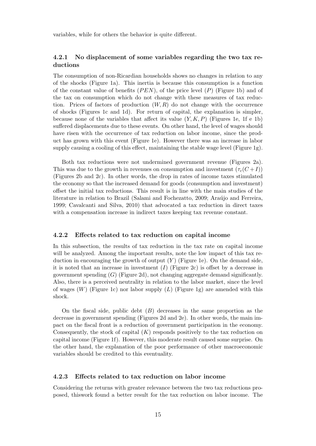variables, while for others the behavior is quite different.

### 4.2.1 No displacement of some variables regarding the two tax reductions

The consumption of non-Ricardian households shows no changes in relation to any of the shocks (Figure 1a). This inertia is because this consumption is a function of the constant value of benefits  $(PEN)$ , of the price level  $(P)$  (Figure 1b) and of the tax on consumption which do not change with these measures of tax reduction. Prices of factors of production  $(W, R)$  do not change with the occurrence of shocks (Figures 1c and 1d). For return of capital, the explanation is simpler, because none of the variables that affect its value  $(Y, K, P)$  (Figures 1e, 1f e 1b) suffered displacements due to these events. On other hand, the level of wages should have risen with the occurrence of tax reduction on labor income, since the product has grown with this event (Figure 1e). However there was an increase in labor supply causing a cooling of this effect, maintaining the stable wage level (Figure 1g).

Both tax reductions were not undermined government revenue (Figures 2a). This was due to the growth in revenues on consumption and investment  $(\tau_c(C+I))$ (Figures 2b and 2c). In other words, the drop in rates of income taxes stimulated the economy so that the increased demand for goods (consumption and investment) offset the initial tax reductions. This result is in line with the main studies of the literature in relation to Brazil (Salami and Fochezatto, 2009; Araújo and Ferreira, 1999; Cavalcanti and Silva, 2010) that advocated a tax reduction in direct taxes with a compensation increase in indirect taxes keeping tax revenue constant.

#### 4.2.2 Effects related to tax reduction on capital income

In this subsection, the results of tax reduction in the tax rate on capital income will be analyzed. Among the important results, note the low impact of this tax reduction in encouraging the growth of output  $(Y)$  (Figure 1e). On the demand side, it is noted that an increase in investment  $(I)$  (Figure 2c) is offset by a decrease in government spending  $(G)$  (Figure 2d), not changing aggregate demand significantly. Also, there is a perceived neutrality in relation to the labor market, since the level of wages  $(W)$  (Figure 1c) nor labor supply  $(L)$  (Figure 1g) are amended with this shock.

On the fiscal side, public debt  $(B)$  decreases in the same proportion as the decrease in government spending (Figures 2d and 2e). In other words, the main impact on the fiscal front is a reduction of government participation in the economy. Consequently, the stock of capital  $(K)$  responds positively to the tax reduction on capital income (Figure 1f). However, this moderate result caused some surprise. On the other hand, the explanation of the poor performance of other macroeconomic variables should be credited to this eventuality.

#### 4.2.3 Effects related to tax reduction on labor income

Considering the returns with greater relevance between the two tax reductions proposed, thiswork found a better result for the tax reduction on labor income. The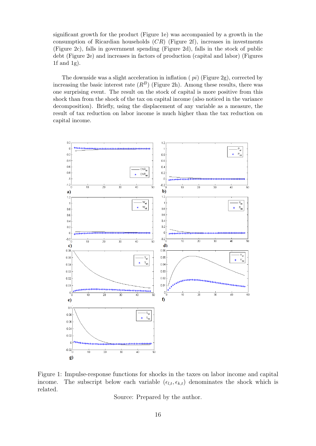significant growth for the product (Figure 1e) was accompanied by a growth in the consumption of Ricardian households  $(CR)$  (Figure 2f), increases in investments (Figure 2c), falls in government spending (Figure 2d), falls in the stock of public debt (Figure 2e) and increases in factors of production (capital and labor) (Figures 1f and 1g).

The downside was a slight acceleration in inflation  $(pi)$  (Figure 2g), corrected by increasing the basic interest rate  $(R^B)$  (Figure 2h). Among these results, there was one surprising event. The result on the stock of capital is more positive from this shock than from the shock of the tax on capital income (also noticed in the variance decomposition). Briefly, using the displacement of any variable as a measure, the result of tax reduction on labor income is much higher than the tax reduction on capital income.



Figure 1: Impulse-response functions for shocks in the taxes on labor income and capital income. The subscript below each variable  $(\epsilon_{l,t}, \epsilon_{k,t})$  denominates the shock which is related.

Source: Prepared by the author.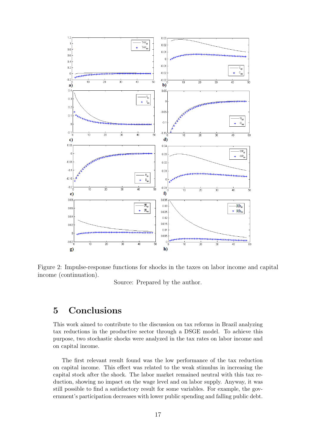

Figure 2: Impulse-response functions for shocks in the taxes on labor income and capital income (continuation).

Source: Prepared by the author.

# 5 Conclusions

This work aimed to contribute to the discussion on tax reforms in Brazil analyzing tax reductions in the productive sector through a DSGE model. To achieve this purpose, two stochastic shocks were analyzed in the tax rates on labor income and on capital income.

The first relevant result found was the low performance of the tax reduction on capital income. This effect was related to the weak stimulus in increasing the capital stock after the shock. The labor market remained neutral with this tax reduction, showing no impact on the wage level and on labor supply. Anyway, it was still possible to find a satisfactory result for some variables. For example, the government's participation decreases with lower public spending and falling public debt.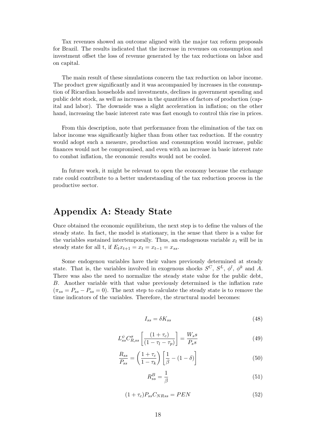Tax revenues showed an outcome aligned with the major tax reform proposals for Brazil. The results indicated that the increase in revenues on consumption and investment offset the loss of revenue generated by the tax reductions on labor and on capital.

The main result of these simulations concern the tax reduction on labor income. The product grew significantly and it was accompanied by increases in the consumption of Ricardian households and investments, declines in government spending and public debt stock, as well as increases in the quantities of factors of production (capital and labor). The downside was a slight acceleration in inflation; on the other hand, increasing the basic interest rate was fast enough to control this rise in prices.

From this description, note that performance from the elimination of the tax on labor income was significantly higher than from other tax reduction. If the country would adopt such a measure, production and consumption would increase, public finances would not be compromised, and even with an increase in basic interest rate to combat inflation, the economic results would not be cooled.

In future work, it might be relevant to open the economy because the exchange rate could contribute to a better understanding of the tax reduction process in the productive sector.

## Appendix A: Steady State

Once obtained the economic equilibrium, the next step is to define the values of the steady state. In fact, the model is stationary, in the sense that there is a value for the variables sustained intertemporally. Thus, an endogenous variable  $x_t$  will be in steady state for all t, if  $E_t x_{t+1} = x_t = x_{t-1} = x_{ss}$ .

Some endogenou variables have their values previously determined at steady state. That is, the variables involved in exogenous shocks  $S^C$ ,  $S^L$ ,  $\phi^l$ ,  $\phi^k$  and A. There was also the need to normalize the steady state value for the public debt, B. Another variable with that value previously determined is the inflation rate  $(\pi_{ss} = P_{ss} - P_{ss} = 0)$ . The next step to calculate the steady state is to remove the time indicators of the variables. Therefore, the structural model becomes:

$$
I_{ss} = \delta K_{ss} \tag{48}
$$

$$
L_{ss}^{\psi}C_{R,ss}^{\sigma}\left[\frac{(1+\tau_c)}{(1-\tau_l-\tau_p)}\right] = \frac{W_s s}{P_s s} \tag{49}
$$

$$
\frac{R_{ss}}{P_{ss}} = \left(\frac{1+\tau_c}{1-\tau_k}\right) \left[\frac{1}{\beta} - (1-\delta)\right]
$$
\n(50)

$$
R_{ss}^B = \frac{1}{\beta} \tag{51}
$$

$$
(1 + \tau_c) P_{ss} C_{NRss} = PEN \tag{52}
$$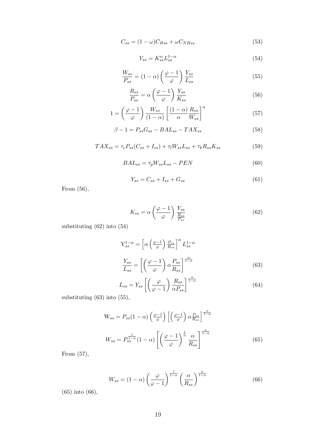$$
C_{ss} = (1 - \omega)C_{Rss} + \omega C_{NRss}
$$
\n<sup>(53)</sup>

$$
Y_{ss} = K_{ss}^{\alpha} L_{ss}^{1-\alpha} \tag{54}
$$

$$
\frac{W_{ss}}{P_{ss}} = (1 - \alpha) \left(\frac{\varphi - 1}{\varphi}\right) \frac{Y_{ss}}{L_{ss}} \tag{55}
$$

$$
\frac{R_{ss}}{P_{ss}} = \alpha \left(\frac{\varphi - 1}{\varphi}\right) \frac{Y_{ss}}{K_{ss}} \tag{56}
$$

$$
1 = \left(\frac{\varphi - 1}{\varphi}\right) \frac{W_{ss}}{(1 - \alpha)} \left[\frac{(1 - \alpha)}{\alpha} \frac{R_{ss}}{W_{ss}}\right]^{\alpha} \tag{57}
$$

$$
\beta - 1 = P_{ss}G_{ss} - BAL_{ss} - TAX_{ss} \tag{58}
$$

$$
TAX_{ss} = \tau_c P_{ss}(C_{ss} + I_{ss}) + \tau_l W_{ss} L_{ss} + \tau_k R_{ss} K_{ss}
$$
\n
$$
\tag{59}
$$

$$
BAL_{ss} = \tau_p W_{ss} L_{ss} - PEN \tag{60}
$$

$$
Y_{ss} = C_{ss} + I_{ss} + G_{ss} \tag{61}
$$

From (56),

$$
K_{ss} = \alpha \left(\frac{\varphi - 1}{\varphi}\right) \frac{Y_{ss}}{\frac{R_{ss}}{P_{ss}}}
$$
(62)

substituting (62) into (54)

$$
Y_{ss}^{1-\alpha} = \left[ \alpha \left( \frac{\varphi - 1}{\varphi} \right) \frac{P_{ss}}{R_{ss}} \right]^{\alpha} L_{ss}^{1-\alpha}
$$

$$
\frac{Y_{ss}}{L_{ss}} = \left[ \left( \frac{\varphi - 1}{\varphi} \right) \alpha \frac{P_{ss}}{R_{ss}} \right]^{\frac{\alpha}{1-\alpha}}
$$
(63)

$$
L_{ss} = Y_{ss} \left[ \left( \frac{\varphi}{\varphi - 1} \right) \frac{R_{ss}}{\alpha P_{ss}} \right]^{\frac{\alpha}{1 - \alpha}} \tag{64}
$$

substituting (63) into (55),

$$
W_{ss} = P_{ss}(1 - \alpha) \left(\frac{\varphi - 1}{\varphi}\right) \left[\left(\frac{\varphi - 1}{\varphi}\right) \alpha \frac{P_{ss}}{R_{ss}}\right]^{\frac{\alpha}{1 - \alpha}}
$$

$$
W_{ss} = P_{ss}^{\frac{1}{1 - \alpha}}(1 - \alpha) \left[\left(\frac{\varphi - 1}{\varphi}\right)^{\frac{1}{\alpha}} \frac{\alpha}{R_{ss}}\right]^{\frac{\alpha}{1 - \alpha}}
$$
(65)

From (57),

$$
W_{ss} = (1 - \alpha) \left(\frac{\varphi}{\varphi - 1}\right)^{\frac{1}{1 - \alpha}} \left(\frac{\alpha}{R_{ss}}\right)^{\frac{\alpha}{1 - \alpha}}
$$
(66)

(65) into (66),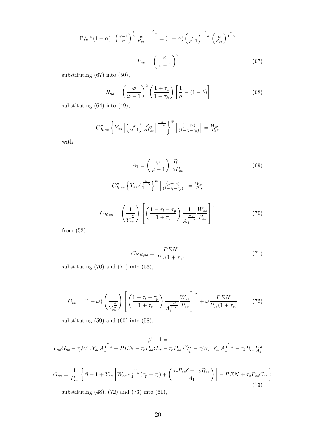$$
P_{ss}^{\frac{1}{1-\alpha}}(1-\alpha)\left[\left(\frac{\varphi-1}{\varphi}\right)^{\frac{1}{\alpha}}\frac{\alpha}{R_{ss}}\right]^{\frac{\alpha}{1-\alpha}} = (1-\alpha)\left(\frac{\varphi}{\varphi-1}\right)^{\frac{1}{1-\alpha}}\left(\frac{\alpha}{R_{ss}}\right)^{\frac{\alpha}{1-\alpha}}
$$

$$
P_{ss} = \left(\frac{\varphi}{\varphi-1}\right)^2\tag{67}
$$

substituting (67) into (50),

$$
R_{ss} = \left(\frac{\varphi}{\varphi - 1}\right)^2 \left(\frac{1 + \tau_c}{1 - \tau_k}\right) \left[\frac{1}{\beta} - (1 - \delta)\right]
$$
(68)

substituting (64) into (49),

$$
C_{R,ss}^{\sigma} \left\{ Y_{ss} \left[ \left( \frac{\varphi}{\varphi - 1} \right) \frac{R_{ss}}{\alpha P_{ss}} \right]^{\frac{\alpha}{1-\alpha}} \right\}^{\psi} \left[ \frac{\left( 1 + \tau_c \right)}{\left( 1 - \tau_l - \tau_p \right)} \right] = \frac{W_s s}{P_s s}
$$

with,

$$
A_{1} = \left(\frac{\varphi}{\varphi - 1}\right) \frac{R_{ss}}{\alpha P_{ss}}
$$
(69)  

$$
C_{R,ss}^{\sigma} \left\{ Y_{ss} A_{1}^{\frac{\alpha}{1 - \alpha}} \right\}^{\psi} \left[ \frac{(1 + \tau_{c})}{(1 - \tau_{l} - \tau_{p})} \right] = \frac{W_{ss}}{P_{s}s}
$$
  

$$
C_{R,ss} = \left(\frac{1}{Y_{ss}^{\frac{\psi}{\sigma}}} \right) \left[ \left(\frac{1 - \tau_{l} - \tau_{p}}{1 + \tau_{c}} \right) \frac{1}{A_{1}^{\frac{\alpha \psi}{1 - \alpha}}} \frac{W_{ss}}{P_{ss}} \right]^{\frac{1}{\sigma}}
$$
(70)

from (52),

$$
C_{NR,ss} = \frac{PEN}{P_{ss}(1+\tau_c)}\tag{71}
$$

substituting (70) and (71) into (53),

$$
C_{ss} = (1 - \omega) \left(\frac{1}{Y_{ss}^{\frac{\psi}{\sigma}}}\right) \left[ \left(\frac{1 - \tau_l - \tau_p}{1 + \tau_c}\right) \frac{1}{A_1^{\frac{\alpha \psi}{1 - \alpha}}} \frac{W_{ss}}{P_{ss}} \right]^{\frac{1}{\sigma}} + \omega \frac{PEN}{P_{ss}(1 + \tau_c)}
$$
(72)

substituting (59) and (60) into (58),

$$
\beta - 1 =
$$
  

$$
P_{ss}G_{ss} - \tau_p W_{ss} Y_{ss} A_1^{\frac{\alpha}{1 - \alpha}} + PEN - \tau_c P_{ss} C_{ss} - \tau_c P_{ss} \delta \frac{Y_{ss}}{A_1} - \tau_l W_{ss} Y_{ss} A_1^{\frac{\alpha}{1 - \alpha}} - \tau_k R_{ss} \frac{Y_{ss}}{A_1}
$$

$$
G_{ss} = \frac{1}{P_{ss}} \left\{ \beta - 1 + Y_{ss} \left[ W_{ss} A_1^{\frac{\alpha}{1-\alpha}} (\tau_p + \tau_l) + \left( \frac{\tau_c P_{ss} \delta + \tau_k R_{ss}}{A_1} \right) \right] - PEN + \tau_c P_{ss} C_{ss} \right\}
$$
\nsubstituting (48) (72) and (73) into (61)

substituting (48), (72) and (73) into (61),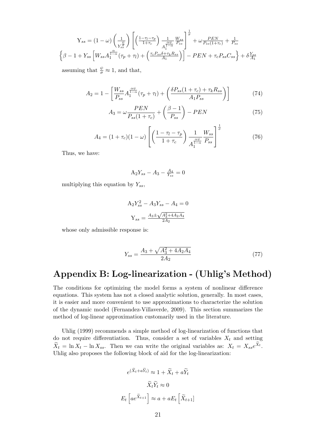$$
Y_{ss} = (1 - \omega) \left(\frac{1}{Y_{ss}^{\frac{\omega}{\sigma}}}\right) \left[ \left(\frac{1 - \tau_l - \tau_p}{1 + \tau_c}\right) \frac{1}{A_1^{\frac{\alpha \omega}{1 - \alpha}}} \frac{W_{ss}}{P_{ss}} \right]^{\frac{1}{\sigma}} + \omega \frac{PEN}{P_{ss}(1 + \tau_c)} + \frac{1}{P_{ss}}
$$

$$
\left\{\beta - 1 + Y_{ss} \left[W_{ss} A_1^{\frac{\alpha}{1 - \alpha}}(\tau_p + \tau_l) + \left(\frac{\tau_c P_{ss} \delta + \tau_k R_{ss}}{A_1}\right)\right] - PEN + \tau_c P_{ss} C_{ss} \right\} + \delta \frac{Y_{ss}}{A_1}
$$

assuming that  $\frac{\psi}{\sigma} \approx 1$ , and that,

$$
A_2 = 1 - \left[ \frac{W_{ss}}{P_{ss}} A_1^{\frac{\alpha \psi}{1-\alpha}} (\tau_p + \tau_l) + \left( \frac{\delta P_{ss} (1 + \tau_c) + \tau_k R_{ss}}{A_1 P_{ss}} \right) \right]
$$
(74)

$$
A_3 = \omega \frac{PEN}{P_{ss}(1+\tau_c)} + \left(\frac{\beta - 1}{P_{ss}}\right) - PEN \tag{75}
$$

$$
A_4 = (1 + \tau_c)(1 - \omega) \left[ \left( \frac{1 - \tau_l - \tau_p}{1 + \tau_c} \right) \frac{1}{A_1^{\frac{\alpha \psi}{1 - \alpha}}} \frac{W_{ss}}{P_{ss}} \right]^{\frac{1}{\sigma}}
$$
(76)

Thus, we have:

$$
A_2 Y_{ss} - A_3 - \frac{A_4}{Y_{ss}} = 0
$$

multiplying this equation by  $Y_{ss}$ ,

$$
A_2 Y_{ss}^2 - A_3 Y_{ss} - A_4 = 0
$$

$$
Y_{ss} = \frac{A_3 \pm \sqrt{A_3^2 + 4A_2 A_4}}{2A_2}
$$

whose only admissible response is:

$$
Y_{ss} = \frac{A_3 + \sqrt{A_3^2 + 4A_2A_4}}{2A_2} \tag{77}
$$

# Appendix B: Log-linearization - (Uhlig's Method)

The conditions for optimizing the model forms a system of nonlinear difference equations. This system has not a closed analytic solution, generally. In most cases, it is easier and more convenient to use approximations to characterize the solution of the dynamic model (Fernandez-Villaverde, 2009). This section summarizes the method of log-linear approximation customarily used in the literature.

Uhlig (1999) recommends a simple method of log-linearization of functions that do not require differentiation. Thus, consider a set of variables  $X_t$  and setting  $\widetilde{X}_t = \ln X_t - \ln X_{ss}$ . Then we can write the original variables as:  $X_t = X_{ss}e^{X_t}$ . Uhlig also proposes the following block of aid for the log-linearization:

$$
e^{(X_t + aY_t)} \approx 1 + \widetilde{X}_t + a\widetilde{Y}_t
$$

$$
\widetilde{X}_t \widetilde{Y}_t \approx 0
$$

$$
E_t \left[ a e^{\widetilde{X}_{t+1}} \right] \approx a + aE_t \left[ \widetilde{X}_{t+1} \right]
$$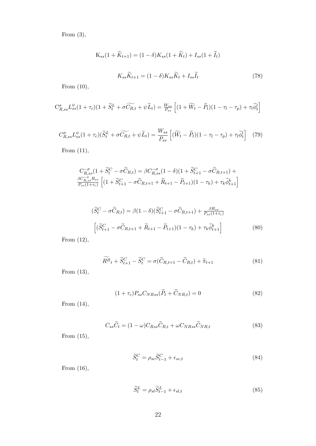From (3),

$$
K_{ss}(1 + \widetilde{K}_{t+1}) = (1 - \delta)K_{ss}(1 + \widetilde{K}_t) + I_{ss}(1 + \widetilde{I}_t)
$$

$$
K_{ss}\widetilde{K}_{t+1} = (1 - \delta)K_{ss}\widetilde{K}_t + I_{ss}\widetilde{I}_t
$$
(78)

From (10),

$$
C_{R,ss}^{\sigma} L_{ss}^{\psi}(1+\tau_c)(1+\widetilde{S}_t^L + \sigma \widetilde{C_{R,t}} + \psi \widetilde{L}_t) = \frac{W_{ss}}{P_{ss}} \left[ (1+\widetilde{W}_t - \widetilde{P}_t)(1-\tau_l - \tau_p) + \tau_l \widetilde{\phi}_t^l \right]
$$

$$
C_{R,ss}^{\sigma} L_{ss}^{\psi}(1+\tau_c)(\widetilde{S}_t^L + \sigma \widetilde{C_{R,t}} + \psi \widetilde{L}_t) = \frac{W_{ss}}{P_{ss}} \left[ (\widetilde{W}_t - \widetilde{P}_t)(1-\tau_l - \tau_p) + \tau_l \widetilde{\phi}_t^l \right] \tag{79}
$$

From (11),

$$
C_{R,ss}^{-\sigma} (1 + \widetilde{S}_{t}^{C} - \sigma \widetilde{C}_{R,t}) = \beta C_{R,ss}^{-\sigma} (1 - \delta)(1 + \widetilde{S}_{t+1}^{C} - \sigma \widetilde{C}_{R,t+1}) + \n\frac{\beta C_{R,ss}^{-\sigma} R_{ss}}{P_{ss}(1 + \tau_c)} \left[ (1 + \widetilde{S}_{t+1}^{C} - \sigma \widetilde{C}_{R,t+1} + \widetilde{R}_{t+1} - \widetilde{P}_{t+1})(1 - \tau_k) + \tau_k \widetilde{\phi}_{t+1}^k \right]
$$

$$
(\widetilde{S}_{t}^{C} - \sigma \widetilde{C}_{R,t}) = \beta (1 - \delta) (\widetilde{S}_{t+1}^{C} - \sigma \widetilde{C}_{R,t+1}) + \frac{\beta R_{ss}}{P_{ss}(1 + \tau_c)}
$$

$$
[(\widetilde{S}_{t+1}^{C} - \sigma \widetilde{C}_{R,t+1} + \widetilde{R}_{t+1} - \widetilde{P}_{t+1})(1 - \tau_k) + \tau_k \widetilde{\phi}_{t+1}^{k}]
$$
(80)

From (12),

$$
\widetilde{R^B}_t + \widetilde{S}_{t+1}^C - \widetilde{S}_t^C = \sigma(\widetilde{C}_{R,t+1} - \widetilde{C}_{R,t}) + \widetilde{\pi}_{t+1}
$$
\n(81)

From (13),

$$
(1 + \tau_c) P_{ss} C_{NRss} (\tilde{P}_t + \tilde{C}_{NR,t}) = 0
$$
\n(82)

From (14),

$$
C_{ss}\widetilde{C}_t = (1 - \omega)C_{Rss}\widetilde{C}_{R,t} + \omega C_{NRss}\widetilde{C}_{NR,t}
$$
\n(83)

From (15),

$$
\widetilde{S}_t^C = \rho_{sc} \widetilde{S}_{t-1}^C + \epsilon_{sc,t} \tag{84}
$$

From (16),

$$
\widetilde{S}_t^L = \rho_{sl} \widetilde{S}_{t-1}^L + \epsilon_{sl,t} \tag{85}
$$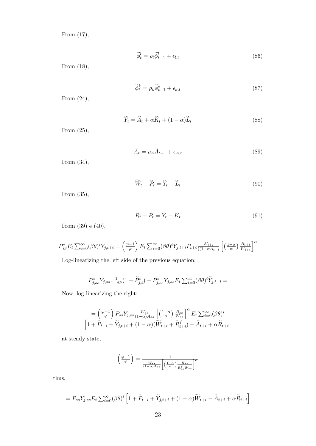From (17),

$$
\widetilde{\phi}_t^l = \rho_l \widetilde{\phi}_{t-1}^l + \epsilon_{l,t} \tag{86}
$$

From (18),

$$
\widetilde{\phi}_t^k = \rho_k \widetilde{\phi}_{t-1}^k + \epsilon_{k,t} \tag{87}
$$

From (24),

$$
\widetilde{Y}_t = \widetilde{A}_t + \alpha \widetilde{K}_t + (1 - \alpha) \widetilde{L}_t \tag{88}
$$

From (25),

$$
A_t = \rho_A A_{t-1} + \epsilon_{A,t} \tag{89}
$$

From (34),

$$
\widetilde{W}_t - \widetilde{P}_t = \widetilde{Y}_t - \widetilde{L}_t \tag{90}
$$

From (35),

$$
\widetilde{R}_t - \widetilde{P}_t = \widetilde{Y}_t - \widetilde{K}_t \tag{91}
$$

From (39) e (40),

$$
P_{j,t}^* E_t \sum_{i=0}^{\infty} (\beta \theta)^i Y_{j,t+i} = \left(\frac{\varphi - 1}{\varphi}\right) E_t \sum_{i=0}^{\infty} (\beta \theta)^i Y_{j,t+i} P_{t+i} \frac{W_{t+i}}{\sqrt{(1 - \alpha A_{t+i})}} \left[ \left(\frac{1 - \alpha}{\alpha}\right) \frac{R_{t+i}}{W_{t+i}} \right]^{\alpha}
$$

Log-linearizing the left side of the previous equation:

$$
P_{j,ss}^* Y_{j,ss} \frac{1}{1-\beta\theta} (1 + \widetilde{P}_{j,t}^*) + P_{j,ss}^* Y_{j,ss} E_t \sum_{i=0}^{\infty} (\beta\theta)^i \widetilde{Y}_{j,t+i} =
$$

Now, log-linearizing the right:

$$
= \left(\frac{\varphi - 1}{\varphi}\right) P_{ss} Y_{j,ss} \frac{W_{ss}}{(1 - \alpha)A_{ss}} \left[ \left(\frac{1 - \alpha}{\alpha}\right) \frac{R_{ss}}{W_{ss}} \right]^{\alpha} E_t \sum_{i=0}^{\infty} (\beta \theta)^i
$$
  

$$
\left[1 + \widetilde{P}_{t+i} + \widetilde{Y}_{j,t+i} + (1 - \alpha)(\widetilde{W}_{t+i} + \widetilde{R}_{t+i}^f) - \widetilde{A}_{t+i} + \alpha \widetilde{R}_{t+i} \right]
$$

at steady state,

$$
\left(\frac{\varphi-1}{\varphi}\right) = \frac{1}{\frac{W_{ss}}{(1-\alpha)Ass} \left[\left(\frac{1-\alpha}{\alpha}\right) \frac{Rs_s}{R_{ss}^f W_{ss}}\right]^{\alpha}}
$$

thus,

$$
= P_{ss} Y_{j,ss} E_t \sum_{i=0}^{\infty} (\beta \theta)^i \left[ 1 + \widetilde{P}_{t+i} + \widetilde{Y}_{j,t+i} + (1 - \alpha) \widetilde{W}_{t+i} - \widetilde{A}_{t+i} + \alpha \widetilde{R}_{t+i} \right]
$$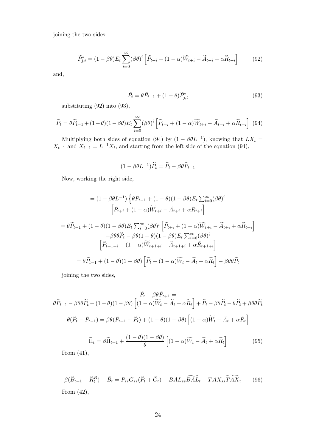joining the two sides:

$$
\widetilde{P}_{j,t}^* = (1 - \beta \theta) E_t \sum_{i=0}^{\infty} (\beta \theta)^i \left[ \widetilde{P}_{t+i} + (1 - \alpha) \widetilde{W}_{t+i} - \widetilde{A}_{t+i} + \alpha \widetilde{R}_{t+i} \right]
$$
(92)

and,

$$
\widetilde{P}_t = \theta \widetilde{P}_{t-1} + (1 - \theta) \widetilde{P}_{j,t}^* \tag{93}
$$

substituting (92) into (93),

$$
\widetilde{P}_t = \theta \widetilde{P}_{t-1} + (1 - \theta)(1 - \beta \theta) E_t \sum_{i=0}^{\infty} (\beta \theta)^i \left[ \widetilde{P}_{t+i} + (1 - \alpha) \widetilde{W}_{t+i} - \widetilde{A}_{t+i} + \alpha \widetilde{R}_{t+i} \right] \tag{94}
$$

Multiplying both sides of equation (94) by  $(1 - \beta \theta L^{-1})$ , knowing that  $LX_t =$  $X_{t-1}$  and  $X_{t+1} = L^{-1}X_t$ , and starting from the left side of the equation (94),

$$
(1 - \beta \theta L^{-1})\widetilde{P}_t = \widetilde{P}_t - \beta \theta \widetilde{P}_{t+1}
$$

Now, working the right side,

$$
= (1 - \beta \theta L^{-1}) \left\{ \theta \widetilde{P}_{t-1} + (1 - \theta)(1 - \beta \theta) E_t \sum_{i=0}^{\infty} (\beta \theta)^i \right\}
$$

$$
\left[ \widetilde{P}_{t+i} + (1 - \alpha) \widetilde{W}_{t+i} - \widetilde{A}_{t+i} + \alpha \widetilde{R}_{t+i} \right]
$$

$$
= \theta \widetilde{P}_{t-1} + (1 - \theta)(1 - \beta \theta) E_t \sum_{i=0}^{\infty} (\beta \theta)^i \left[ \widetilde{P}_{t+i} + (1 - \alpha) \widetilde{W}_{t+i} - \widetilde{A}_{t+i} + \alpha \widetilde{R}_{t+i} \right]
$$

$$
- \beta \theta \theta \widetilde{P}_t - \beta \theta (1 - \theta)(1 - \beta \theta) E_t \sum_{i=0}^{\infty} (\beta \theta)^i
$$

$$
\left[ \widetilde{P}_{t+1+i} + (1 - \alpha) \widetilde{W}_{t+1+i} - \widetilde{A}_{t+1+i} + \alpha \widetilde{R}_{t+1+i} \right]
$$

$$
= \theta \widetilde{P}_{t-1} + (1 - \theta)(1 - \beta \theta) \left[ \widetilde{P}_t + (1 - \alpha) \widetilde{W}_t - \widetilde{A}_t + \alpha \widetilde{R}_t \right] - \beta \theta \theta \widetilde{P}_t
$$

joining the two sides,

$$
\widetilde{P}_t - \beta \theta \widetilde{P}_{t+1} =
$$
\n
$$
\theta \widetilde{P}_{t-1} - \beta \theta \theta \widetilde{P}_t + (1 - \theta)(1 - \beta \theta) \left[ (1 - \alpha) \widetilde{W}_t - \widetilde{A}_t + \alpha \widetilde{R}_t \right] + \widetilde{P}_t - \beta \theta \widetilde{P}_t - \theta \widetilde{P}_t + \beta \theta \theta \widetilde{P}_t
$$
\n
$$
\theta (\widetilde{P}_t - \widetilde{P}_{t-1}) = \beta \theta (\widetilde{P}_{t+1} - \widetilde{P}_t) + (1 - \theta)(1 - \beta \theta) \left[ (1 - \alpha) \widetilde{W}_t - \widetilde{A}_t + \alpha \widetilde{R}_t \right]
$$
\n
$$
\widetilde{\Pi}_t = \beta \widetilde{\Pi}_{t+1} + \frac{(1 - \theta)(1 - \beta \theta)}{\theta} \left[ (1 - \alpha) \widetilde{W}_t - \widetilde{A}_t + \alpha \widetilde{R}_t \right] \tag{95}
$$

From (41),

$$
\beta(\widetilde{B}_{t+1} - \widetilde{R}_t^B) - \widetilde{B}_t = P_{ss}G_{ss}(\widetilde{P}_t + \widetilde{G}_t) - BAL_{ss}\widetilde{BAL}_t - TAX_{ss}\widetilde{TAX}_t
$$
 (96)  
From (42),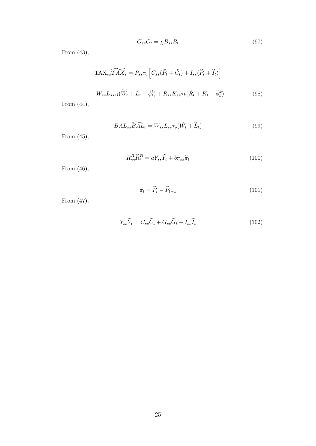$$
G_{ss}\widetilde{G}_t = \chi B_{ss}\widetilde{B}_t \tag{97}
$$

From (43),

$$
\widetilde{\text{TAX}_{ss}\mathcal{TAX}_{t}} = P_{ss}\tau_{c}\left[C_{ss}(\widetilde{P}_{t} + \widetilde{C}_{t}) + I_{ss}(\widetilde{P}_{t} + \widetilde{I}_{t})\right]
$$

$$
+ W_{ss}L_{ss}\tau_{l}(\widetilde{W}_{t} + \widetilde{L}_{t} - \widetilde{\phi}_{t}^{l}) + R_{ss}K_{ss}\tau_{k}(\widetilde{R}_{t} + \widetilde{K}_{t} - \widetilde{\phi}_{t}^{k})
$$
(98)

From 
$$
(44)
$$
,

 $BAL_{ss}\widetilde{BAL}_{t} = W_{ss}L_{ss}\tau_{p}(\widetilde{W}_{t} + \widetilde{L}_{t})$ (99)

From (45),

$$
R_{ss}^B \widetilde{R}_t^B = a Y_{ss} \widetilde{Y}_t + b \pi_{ss} \widetilde{\pi}_t \tag{100}
$$

From (46),

$$
\widetilde{\pi}_t = \widetilde{P}_t - \widetilde{P}_{t-1} \tag{101}
$$

From (47),

$$
Y_{ss}\widetilde{Y}_t = C_{ss}\widetilde{C}_t + G_{ss}\widetilde{G}_t + I_{ss}\widetilde{I}_t
$$
\n(102)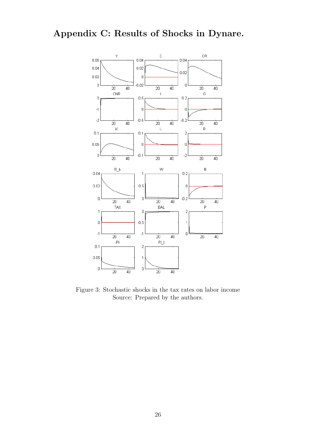# Appendix C: Results of Shocks in Dynare.



Figure 3: Stochastic shocks in the tax rates on labor income Source: Prepared by the authors.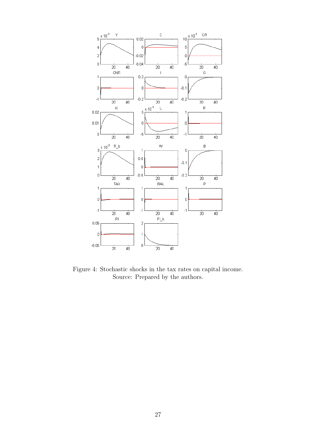

Figure 4: Stochastic shocks in the tax rates on capital income. Source: Prepared by the authors.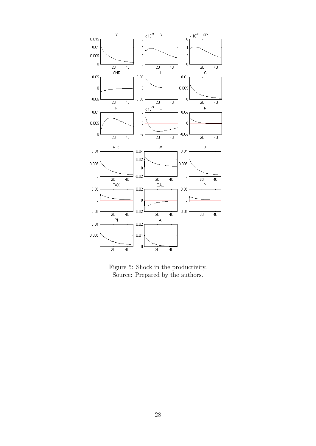

Figure 5: Shock in the productivity. Source: Prepared by the authors.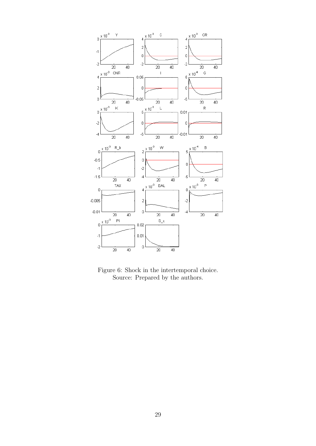

Figure 6: Shock in the intertemporal choice. Source: Prepared by the authors.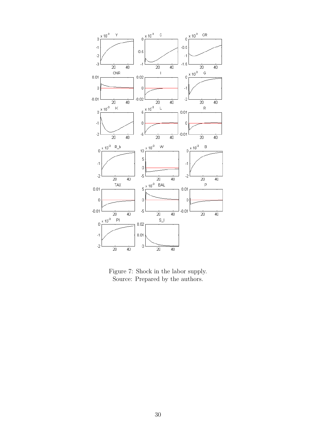

Figure 7: Shock in the labor supply. Source: Prepared by the authors.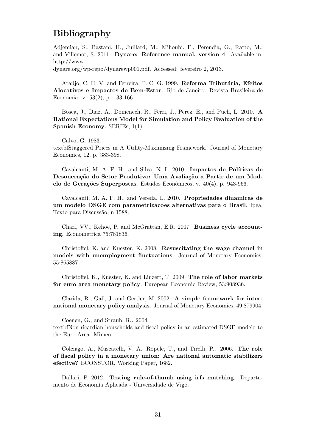# Bibliography

Adjemian, S., Bastani, H., Juillard, M., Mihoubi, F., Perendia, G., Ratto, M., and Villemot, S. 2011. Dynare: Reference manual, version 4. Available in: http://www.

dynare.org/wp-repo/dynarewp001.pdf. Accessed: fevereiro 2, 2013.

Araújo, C. H. V. and Ferreira, P. C. G. 1999. Reforma Tributária, Efeitos Alocativos e Impactos de Bem-Estar. Rio de Janeiro: Revista Brasileira de Economia. v. 53(2), p. 133-166.

Bosca, J., Diaz, A., Domenech, R., Ferri, J., Perez, E., and Puch, L. 2010. A Rational Expectations Model for Simulation and Policy Evaluation of the Spanish Economy. SERIEs, 1(1).

Calvo, G. 1983.

textbfStaggered Prices in A Utility-Maximizing Framework. Journal of Monetary Economics, 12, p. 383-398.

Cavalcanti, M. A. F. H., and Silva, N. L. 2010. Impactos de Políticas de Desoneração do Setor Produtivo: Uma Avaliação a Partir de um Modelo de Gerações Superpostas. Estudos Econômicos, v.  $40(4)$ , p. 943-966.

Cavalcanti, M. A. F. H., and Vereda, L. 2010. Propriedades dinamicas de um modelo DSGE com parametrizacoes alternativas para o Brasil. Ipea, Texto para Discussão, n 1588.

Chari, VV., Kehoe, P. and McGrattan, E.R. 2007. Business cycle accounting. Econometrica 75:781836.

Christoffel, K. and Kuester, K. 2008. Resuscitating the wage channel in models with unemployment fluctuations. Journal of Monetary Economics, 55:865887.

Christoffel, K., Kuester, K. and Linzert, T. 2009. The role of labor markets for euro area monetary policy. European Economic Review, 53:908936.

Clarida, R., Gali, J. and Gertler, M. 2002. A simple framework for international monetary policy analysis. Journal of Monetary Economics, 49:879904.

Coenen, G., and Straub, R.. 2004.

textbfNon-ricardian households and fiscal policy in an estimated DSGE modelo to the Euro Area. Mimeo.

Colciago, A., Muscatelli, V. A., Ropele, T., and Tirelli, P.. 2006. The role of fiscal policy in a monetary union: Are national automatic stabilizers efective? ECONSTOR, Working Paper, 1682.

Dallari, P. 2012. Testing rule-of-thumb using irfs matching. Departamento de Economía Aplicada - Universidade de Vigo.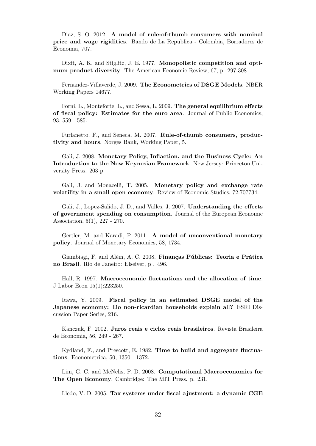Diaz, S. O. 2012. A model of rule-of-thumb consumers with nominal price and wage rigidities. Bando de La Republica - Colombia, Borradores de Economia, 707.

Dixit, A. K. and Stiglitz, J. E. 1977. Monopolistic competition and optimum product diversity. The American Economic Review, 67, p. 297-308.

Fernandez-Villaverde, J. 2009. The Econometrics of DSGE Models. NBER Working Papers 14677.

Forni, L., Monteforte, L., and Sessa, L. 2009. The general equilibrium effects of fiscal policy: Estimates for the euro area. Journal of Public Economics, 93, 559 - 585.

Furlanetto, F., and Seneca, M. 2007. Rule-of-thumb consumers, productivity and hours. Norges Bank, Working Paper, 5.

Gali, J. 2008. Monetary Policy, Inflaction, and the Business Cycle: An Introduction to the New Keynesian Framework. New Jersey: Princeton University Press. 203 p.

Gali, J. and Monacelli, T. 2005. Monetary policy and exchange rate volatility in a small open economy. Review of Economic Studies, 72:707734.

Gali, J., Lopez-Salido, J. D., and Valles, J. 2007. Understanding the effects of government spending on consumption. Journal of the European Economic Association, 5(1), 227 - 270.

Gertler, M. and Karadi, P. 2011. A model of unconventional monetary policy. Journal of Monetary Economics, 58, 1734.

Giambiagi, F. and Além, A. C. 2008. Finanças Públicas: Teoria e Prática no Brasil. Rio de Janeiro: Elseiver, p . 496.

Hall, R. 1997. Macroeconomic fluctuations and the allocation of time. J Labor Econ 15(1):223250.

Itawa, Y. 2009. Fiscal policy in an estimated DSGE model of the Japanese economy: Do non-ricardian households explain all? ESRI Discussion Paper Series, 216.

Kanczuk, F. 2002. Juros reais e ciclos reais brasileiros. Revista Brasileira de Economia, 56, 249 - 267.

Kydland, F., and Prescott, E. 1982. Time to build and aggregate fluctuations. Econometrica, 50, 1350 - 1372.

Lim, G. C. and McNelis, P. D. 2008. Computational Macroeconomics for The Open Economy. Cambridge: The MIT Press. p. 231.

Lledo, V. D. 2005. Tax systems under fiscal ajustment: a dynamic CGE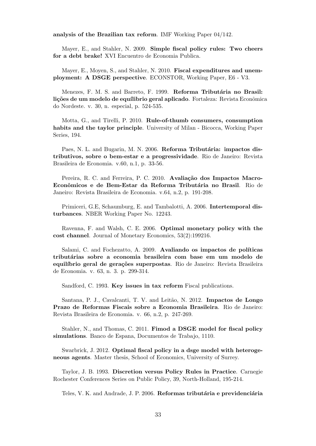analysis of the Brazilian tax reform. IMF Working Paper 04/142.

Mayer, E., and Stahler, N. 2009. Simple fiscal policy rules: Two cheers for a debt brake! XVI Encuentro de Economia Publica.

Mayer, E., Moyen, S., and Stahler, N. 2010. Fiscal expenditures and unemployment: A DSGE perspective. ECONSTOR, Working Paper, E6 - V3.

Menezes, F. M. S. and Barreto, F. 1999. Reforma Tributária no Brasil: lições de um modelo de equílibrio geral aplicado. Fortaleza: Revista Econômica do Nordeste. v. 30, n. especial, p. 524-535.

Motta, G., and Tirelli, P. 2010. Rule-of-thumb consumers, consumption habits and the taylor principle. University of Milan - Bicocca, Working Paper Series, 194.

Paes, N. L. and Bugarin, M. N. 2006. Reforma Tributária: impactos distributivos, sobre o bem-estar e a progressividade. Rio de Janeiro: Revista Brasileira de Economia. v.60, n.1, p. 33-56.

Pereira, R. C. and Ferreira, P. C. 2010. Avaliação dos Impactos Macro-Econômicos e de Bem-Estar da Reforma Tributária no Brasil. Rio de Janeiro: Revista Brasileira de Economia. v.64, n.2, p. 191-208.

Primiceri, G.E, Schaumburg, E. and Tambalotti, A. 2006. Intertemporal disturbances. NBER Working Paper No. 12243.

Ravenna, F. and Walsh, C. E. 2006. Optimal monetary policy with the cost channel. Journal of Monetary Economics, 53(2):199216.

Salami, C. and Fochezatto, A. 2009. Avaliando os impactos de políticas tribut´arias sobre a economia brasileira com base em um modelo de equilíbrio geral de gerações superpostas. Rio de Janeiro: Revista Brasileira de Economia. v. 63, n. 3. p. 299-314.

Sandford, C. 1993. Key issues in tax reform Fiscal publications.

Santana, P. J., Cavalcanti, T. V. and Leitão, N. 2012. **Impactos de Longo** Prazo de Reformas Fiscais sobre a Economia Brasileira. Rio de Janeiro: Revista Brasileira de Economia. v. 66, n.2, p. 247-269.

Stahler, N., and Thomas, C. 2011. Fimod a DSGE model for fiscal policy simulations. Banco de Espana, Documentos de Trabajo, 1110.

Swarbrick, J. 2012. Optimal fiscal policy in a dsge model with heterogeneous agents. Master thesis, School of Economics, University of Surrey.

Taylor, J. B. 1993. Discretion versus Policy Rules in Practice. Carnegie Rochester Conferences Series on Public Policy, 39, North-Holland, 195-214.

Teles, V. K. and Andrade, J. P. 2006. Reformas tributária e previdenciária